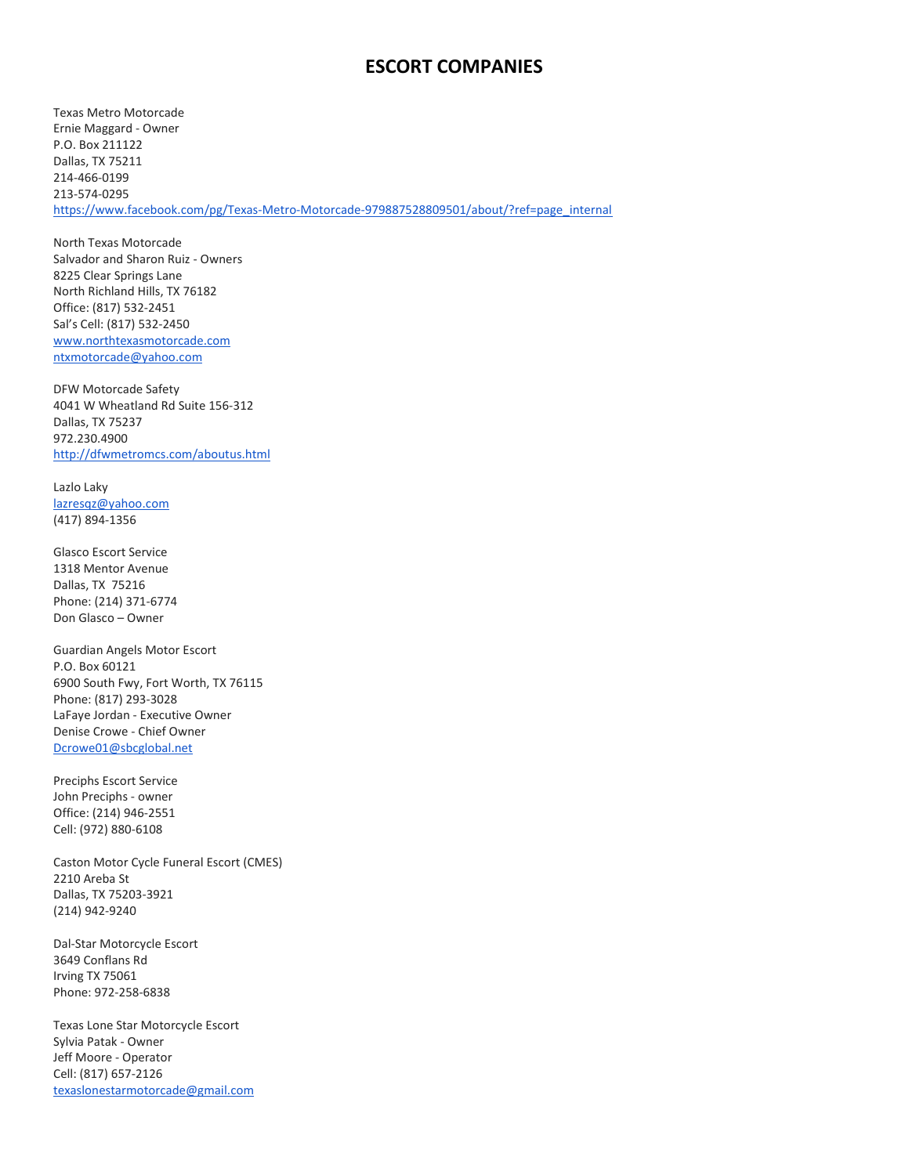## ESCORT COMPANIES

Texas Metro Motorcade Ernie Maggard - Owner P.O. Box 211122 Dallas, TX 75211 214-466-0199 213-574-0295 https://www.facebook.com/pg/Texas-Metro-Motorcade-979887528809501/about/?ref=page\_internal

North Texas Motorcade Salvador and Sharon Ruiz - Owners 8225 Clear Springs Lane North Richland Hills, TX 76182 Office: (817) 532-2451 Sal's Cell: (817) 532-2450 www.northtexasmotorcade.com ntxmotorcade@yahoo.com

DFW Motorcade Safety 4041 W Wheatland Rd Suite 156-312 Dallas, TX 75237 972.230.4900 http://dfwmetromcs.com/aboutus.html

Lazlo Laky lazresqz@yahoo.com (417) 894-1356

Glasco Escort Service 1318 Mentor Avenue Dallas, TX 75216 Phone: (214) 371-6774 Don Glasco – Owner

Guardian Angels Motor Escort P.O. Box 60121 6900 South Fwy, Fort Worth, TX 76115 Phone: (817) 293-3028 LaFaye Jordan - Executive Owner Denise Crowe - Chief Owner Dcrowe01@sbcglobal.net

Preciphs Escort Service John Preciphs - owner Office: (214) 946-2551 Cell: (972) 880-6108

Caston Motor Cycle Funeral Escort (CMES) 2210 Areba St Dallas, TX 75203-3921 (214) 942-9240

Dal-Star Motorcycle Escort 3649 Conflans Rd Irving TX 75061 Phone: 972-258-6838

Texas Lone Star Motorcycle Escort Sylvia Patak - Owner Jeff Moore - Operator Cell: (817) 657-2126 texaslonestarmotorcade@gmail.com